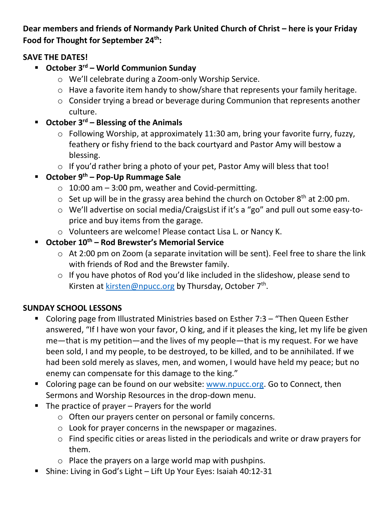**Dear members and friends of Normandy Park United Church of Christ – here is your Friday Food for Thought for September 24th:**

## **SAVE THE DATES!**

- **October 3rd – World Communion Sunday**
	- o We'll celebrate during a Zoom-only Worship Service.
	- o Have a favorite item handy to show/share that represents your family heritage.
	- o Consider trying a bread or beverage during Communion that represents another culture.
- **October 3rd – Blessing of the Animals**
	- o Following Worship, at approximately 11:30 am, bring your favorite furry, fuzzy, feathery or fishy friend to the back courtyard and Pastor Amy will bestow a blessing.
	- o If you'd rather bring a photo of your pet, Pastor Amy will bless that too!
- **October 9th – Pop-Up Rummage Sale**
	- $\circ$  10:00 am 3:00 pm, weather and Covid-permitting.
	- $\circ$  Set up will be in the grassy area behind the church on October 8<sup>th</sup> at 2:00 pm.
	- o We'll advertise on social media/CraigsList if it's a "go" and pull out some easy-toprice and buy items from the garage.
	- o Volunteers are welcome! Please contact Lisa L. or Nancy K.
- **October 10th – Rod Brewster's Memorial Service**
	- o At 2:00 pm on Zoom (a separate invitation will be sent). Feel free to share the link with friends of Rod and the Brewster family.
	- o If you have photos of Rod you'd like included in the slideshow, please send to Kirsten at **kirsten@npucc.org** by Thursday, October 7<sup>th</sup>.

# **SUNDAY SCHOOL LESSONS**

- Coloring page from Illustrated Ministries based on Esther 7:3 "Then Queen Esther answered, "If I have won your favor, O king, and if it pleases the king, let my life be given me—that is my petition—and the lives of my people—that is my request. For we have been sold, I and my people, to be destroyed, to be killed, and to be annihilated. If we had been sold merely as slaves, men, and women, I would have held my peace; but no enemy can compensate for this damage to the king."
- Coloring page can be found on our website: [www.npucc.org.](http://www.npucc.org/) Go to Connect, then Sermons and Worship Resources in the drop-down menu.
- The practice of prayer Prayers for the world
	- o Often our prayers center on personal or family concerns.
	- o Look for prayer concerns in the newspaper or magazines.
	- o Find specific cities or areas listed in the periodicals and write or draw prayers for them.
	- o Place the prayers on a large world map with pushpins.
- Shine: Living in God's Light Lift Up Your Eyes: Isaiah 40:12-31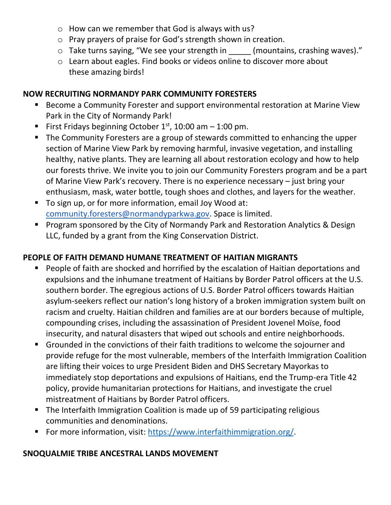- o How can we remember that God is always with us?
- o Pray prayers of praise for God's strength shown in creation.
- o Take turns saying, "We see your strength in (mountains, crashing waves)."
- o Learn about eagles. Find books or videos online to discover more about these amazing birds!

### **NOW RECRUITING NORMANDY PARK COMMUNITY FORESTERS**

- Become a Community Forester and support environmental restoration at Marine View Park in the City of Normandy Park!
- **First Fridays beginning October 1st, 10:00 am 1:00 pm.**
- The Community Foresters are a group of stewards committed to enhancing the upper section of Marine View Park by removing harmful, invasive vegetation, and installing healthy, native plants. They are learning all about restoration ecology and how to help our forests thrive. We invite you to join our Community Foresters program and be a part of Marine View Park's recovery. There is no experience necessary – just bring your enthusiasm, mask, water bottle, tough shoes and clothes, and layers for the weather.
- To sign up, or for more information, email Joy Wood at: [community.foresters@normandyparkwa.gov.](mailto:community.foresters@normandyparkwa.gov) Space is limited.
- Program sponsored by the City of Normandy Park and Restoration Analytics & Design LLC, funded by a grant from the King Conservation District.

### **PEOPLE OF FAITH DEMAND HUMANE TREATMENT OF HAITIAN MIGRANTS**

- People of faith are shocked and horrified by the escalation of Haitian deportations and expulsions and the inhumane treatment of Haitians by Border Patrol officers at the U.S. southern border. The egregious actions of U.S. Border Patrol officers towards Haitian asylum-seekers reflect our nation's long history of a broken immigration system built on racism and cruelty. Haitian children and families are at our borders because of multiple, compounding crises, including the assassination of President Jovenel Moïse, food insecurity, and natural disasters that wiped out schools and entire neighborhoods.
- Grounded in the convictions of their faith traditions to welcome the sojourner and provide refuge for the most vulnerable, members of the Interfaith Immigration Coalition are lifting their voices to urge President Biden and DHS Secretary Mayorkas to immediately stop deportations and expulsions of Haitians, end the Trump-era Title 42 policy, provide humanitarian protections for Haitians, and investigate the cruel mistreatment of Haitians by Border Patrol officers.
- The Interfaith Immigration Coalition is made up of 59 participating religious communities and denominations.
- For more information, visit: [https://www.interfaithimmigration.org/.](https://www.interfaithimmigration.org/)

#### **SNOQUALMIE TRIBE ANCESTRAL LANDS MOVEMENT**